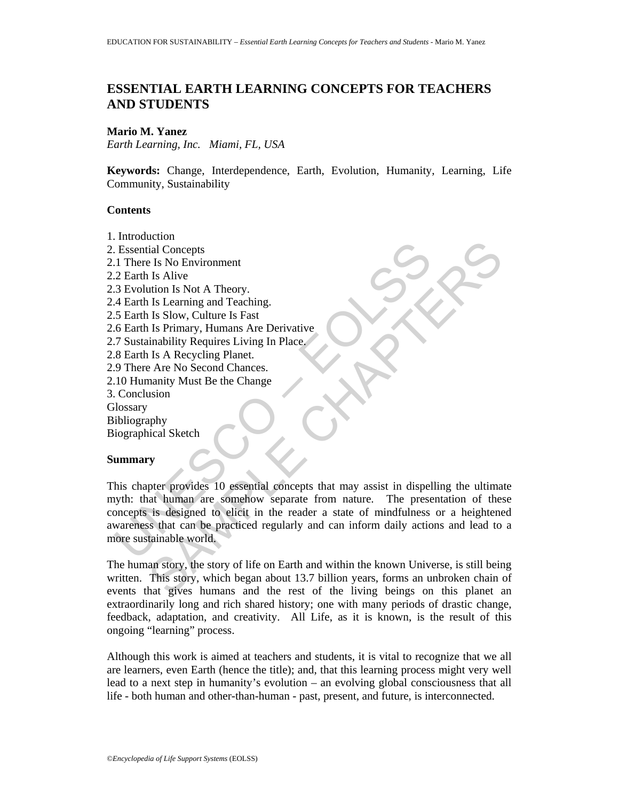# **ESSENTIAL EARTH LEARNING CONCEPTS FOR TEACHERS AND STUDENTS**

## **Mario M. Yanez**

*Earth Learning, Inc. Miami, FL, USA* 

**Keywords:** Change, Interdependence, Earth, Evolution, Humanity, Learning, Life Community, Sustainability

## **Contents**

Essential Concepts<br>
1 There Is No Environment<br>
2 Earth Is Alive<br>
2 Earth Is Alive<br>
4 Earth Is Learning and Teaching.<br>
5 Earth Is Learning and Teaching.<br>
5 Earth Is Slow, Culture Is Fast<br>
6 Earth Is Primary, Humans Are Deri Example 15 No Environment<br>
Les Alive Chapters Is Not A Theory.<br>
Les Alive Charling and Teaching.<br>
Les Slow, Culture Is Feat<br>
Les Slow, Culture Is Frimary, Humans Are Derivative<br>
Is A Recycling Planet.<br>
Les A Recycling Plan 1. Introduction 2. Essential Concepts 2.1 There Is No Environment 2.2 Earth Is Alive 2.3 Evolution Is Not A Theory. 2.4 Earth Is Learning and Teaching. 2.5 Earth Is Slow, Culture Is Fast 2.6 Earth Is Primary, Humans Are Derivative 2.7 Sustainability Requires Living In Place. 2.8 Earth Is A Recycling Planet. 2.9 There Are No Second Chances. 2.10 Humanity Must Be the Change 3. Conclusion **Glossary** Bibliography Biographical Sketch

## **Summary**

This chapter provides 10 essential concepts that may assist in dispelling the ultimate myth: that human are somehow separate from nature. The presentation of these concepts is designed to elicit in the reader a state of mindfulness or a heightened awareness that can be practiced regularly and can inform daily actions and lead to a more sustainable world.

The human story, the story of life on Earth and within the known Universe, is still being written. This story, which began about 13.7 billion years, forms an unbroken chain of events that gives humans and the rest of the living beings on this planet an extraordinarily long and rich shared history; one with many periods of drastic change, feedback, adaptation, and creativity. All Life, as it is known, is the result of this ongoing "learning" process.

Although this work is aimed at teachers and students, it is vital to recognize that we all are learners, even Earth (hence the title); and, that this learning process might very well lead to a next step in humanity's evolution – an evolving global consciousness that all life - both human and other-than-human - past, present, and future, is interconnected.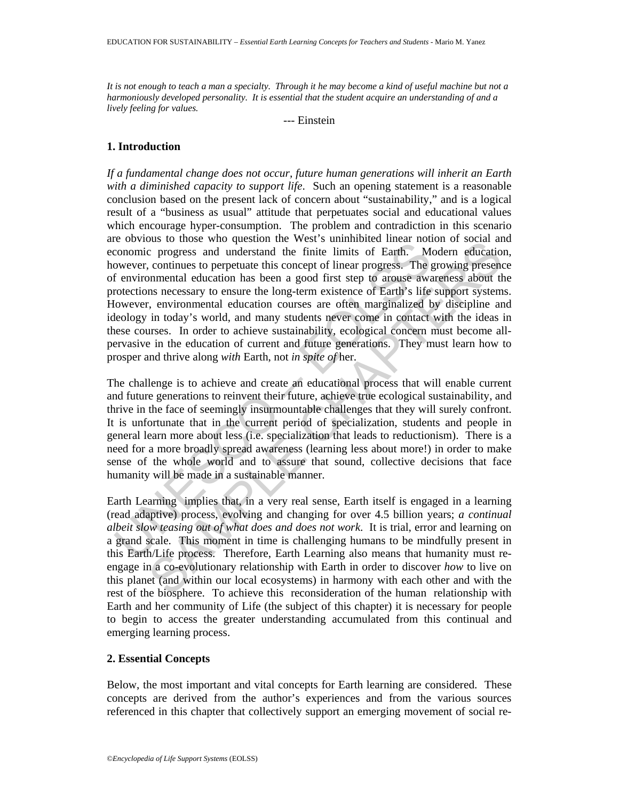*It is not enough to teach a man a specialty. Through it he may become a kind of useful machine but not a harmoniously developed personality. It is essential that the student acquire an understanding of and a lively feeling for values.* 

--- Einstein

# **1. Introduction**

Covids to those who question the verse s amiminate mutan notation<br>conomic progress and understand the finite limits of Earth. Mowever, continues to perpetuate this concept of linear progress. The genvironmental education The conservation in everst summinated mean forcours of the expansion of social and notical consideration in shoen equisorial experimental education has been a good first step to arouse awareness about the summeral educati *If a fundamental change does not occur, future human generations will inherit an Earth with a diminished capacity to support life*. Such an opening statement is a reasonable conclusion based on the present lack of concern about "sustainability," and is a logical result of a "business as usual" attitude that perpetuates social and educational values which encourage hyper-consumption. The problem and contradiction in this scenario are obvious to those who question the West's uninhibited linear notion of social and economic progress and understand the finite limits of Earth. Modern education, however, continues to perpetuate this concept of linear progress. The growing presence of environmental education has been a good first step to arouse awareness about the protections necessary to ensure the long-term existence of Earth's life support systems. However, environmental education courses are often marginalized by discipline and ideology in today's world, and many students never come in contact with the ideas in these courses. In order to achieve sustainability, ecological concern must become allpervasive in the education of current and future generations. They must learn how to prosper and thrive along *with* Earth, not *in spite of* her.

The challenge is to achieve and create an educational process that will enable current and future generations to reinvent their future, achieve true ecological sustainability, and thrive in the face of seemingly insurmountable challenges that they will surely confront. It is unfortunate that in the current period of specialization, students and people in general learn more about less (i.e. specialization that leads to reductionism). There is a need for a more broadly spread awareness (learning less about more!) in order to make sense of the whole world and to assure that sound, collective decisions that face humanity will be made in a sustainable manner.

Earth Learning implies that, in a very real sense, Earth itself is engaged in a learning (read adaptive) process, evolving and changing for over 4.5 billion years; *a continual albeit slow teasing out of what does and does not work*. It is trial, error and learning on a grand scale. This moment in time is challenging humans to be mindfully present in this Earth/Life process. Therefore, Earth Learning also means that humanity must reengage in a co-evolutionary relationship with Earth in order to discover *how* to live on this planet (and within our local ecosystems) in harmony with each other and with the rest of the biosphere. To achieve this reconsideration of the human relationship with Earth and her community of Life (the subject of this chapter) it is necessary for people to begin to access the greater understanding accumulated from this continual and emerging learning process.

# **2. Essential Concepts**

Below, the most important and vital concepts for Earth learning are considered. These concepts are derived from the author's experiences and from the various sources referenced in this chapter that collectively support an emerging movement of social re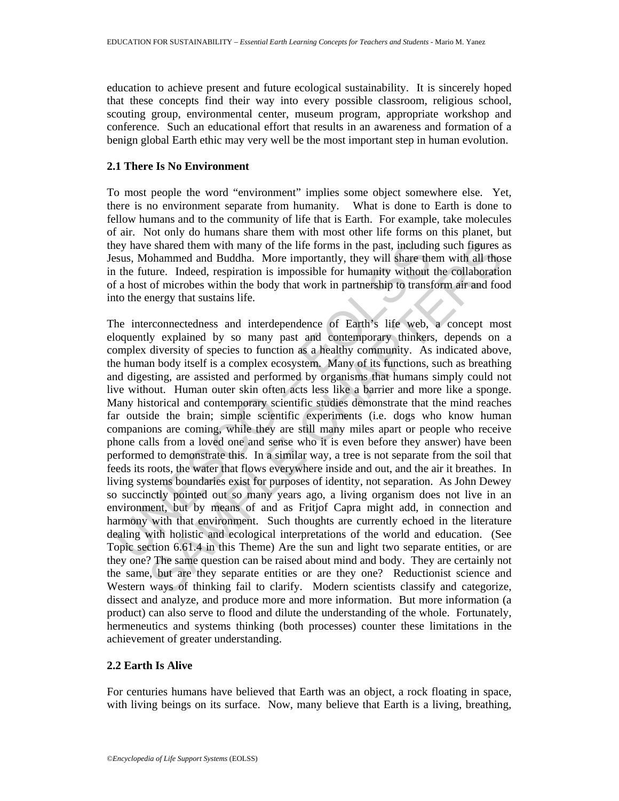education to achieve present and future ecological sustainability. It is sincerely hoped that these concepts find their way into every possible classroom, religious school, scouting group, environmental center, museum program, appropriate workshop and conference. Such an educational effort that results in an awareness and formation of a benign global Earth ethic may very well be the most important step in human evolution.

## **2.1 There Is No Environment**

To most people the word "environment" implies some object somewhere else. Yet, there is no environment separate from humanity. What is done to Earth is done to fellow humans and to the community of life that is Earth. For example, take molecules of air. Not only do humans share them with most other life forms on this planet, but they have shared them with many of the life forms in the past, including such figures as Jesus, Mohammed and Buddha. More importantly, they will share them with all those in the future. Indeed, respiration is impossible for humanity without the collaboration of a host of microbes within the body that work in partnership to transform air and food into the energy that sustains life.

ley have shared them with many of the life forms in the past, includinty<br>sus, Mohammed and Buddha. More importantly, they will share the future. Indeed, respiration is impossible for humanity without<br>the future. Indeed, re e shared them with many of the life forms in the past, including such figures a<br>ohammed and Buddha. More importantly, they will share them with all those<br>ture. Indeed, respiration is impossible for humanity without the col The interconnectedness and interdependence of Earth's life web, a concept most eloquently explained by so many past and contemporary thinkers, depends on a complex diversity of species to function as a healthy community. As indicated above, the human body itself is a complex ecosystem. Many of its functions, such as breathing and digesting, are assisted and performed by organisms that humans simply could not live without. Human outer skin often acts less like a barrier and more like a sponge. Many historical and contemporary scientific studies demonstrate that the mind reaches far outside the brain; simple scientific experiments (i.e. dogs who know human companions are coming, while they are still many miles apart or people who receive phone calls from a loved one and sense who it is even before they answer) have been performed to demonstrate this. In a similar way, a tree is not separate from the soil that feeds its roots, the water that flows everywhere inside and out, and the air it breathes. In living systems boundaries exist for purposes of identity, not separation. As John Dewey so succinctly pointed out so many years ago, a living organism does not live in an environment, but by means of and as Fritjof Capra might add, in connection and harmony with that environment. Such thoughts are currently echoed in the literature dealing with holistic and ecological interpretations of the world and education. (See Topic section 6.61.4 in this Theme) Are the sun and light two separate entities, or are they one? The same question can be raised about mind and body. They are certainly not the same, but are they separate entities or are they one? Reductionist science and Western ways of thinking fail to clarify. Modern scientists classify and categorize, dissect and analyze, and produce more and more information. But more information (a product) can also serve to flood and dilute the understanding of the whole. Fortunately, hermeneutics and systems thinking (both processes) counter these limitations in the achievement of greater understanding.

# **2.2 Earth Is Alive**

For centuries humans have believed that Earth was an object, a rock floating in space, with living beings on its surface. Now, many believe that Earth is a living, breathing,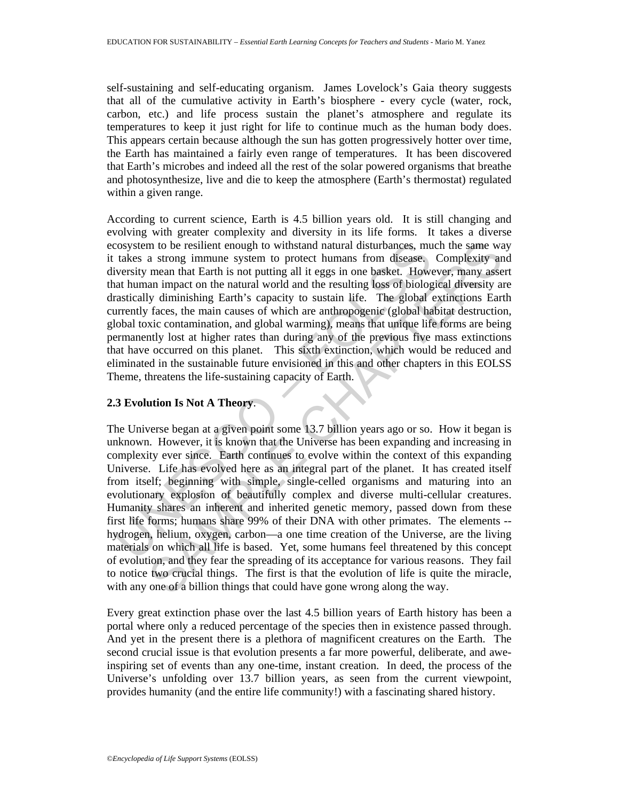self-sustaining and self-educating organism. James Lovelock's Gaia theory suggests that all of the cumulative activity in Earth's biosphere - every cycle (water, rock, carbon, etc.) and life process sustain the planet's atmosphere and regulate its temperatures to keep it just right for life to continue much as the human body does. This appears certain because although the sun has gotten progressively hotter over time, the Earth has maintained a fairly even range of temperatures. It has been discovered that Earth's microbes and indeed all the rest of the solar powered organisms that breathe and photosynthesize, live and die to keep the atmosphere (Earth's thermostat) regulated within a given range.

cosystem to be resilient enough to withstand natural disturbances, mu<br>takes a strong immune system to protect humans from disease.<br>Niversity mean that Earth is not putting all it eggs in one basket. However<br>ity threat huma According to current science, Earth is 4.5 billion years old. It is still changing and evolving with greater complexity and diversity in its life forms. It takes a diverse ecosystem to be resilient enough to withstand natural disturbances, much the same way it takes a strong immune system to protect humans from disease. Complexity and diversity mean that Earth is not putting all it eggs in one basket. However, many assert that human impact on the natural world and the resulting loss of biological diversity are drastically diminishing Earth's capacity to sustain life. The global extinctions Earth currently faces, the main causes of which are anthropogenic (global habitat destruction, global toxic contamination, and global warming), means that unique life forms are being permanently lost at higher rates than during any of the previous five mass extinctions that have occurred on this planet. This sixth extinction, which would be reduced and eliminated in the sustainable future envisioned in this and other chapters in this EOLSS Theme, threatens the life-sustaining capacity of Earth.

# **2.3 Evolution Is Not A Theory**.

m to be resilient enough to withstand natural disturbances, much the same was raron in throusses. Complexity an mean that Earth is not pluting all it eggs in one basket. However, many asses are many mated on the natural wo The Universe began at a given point some 13.7 billion years ago or so. How it began is unknown. However, it is known that the Universe has been expanding and increasing in complexity ever since. Earth continues to evolve within the context of this expanding Universe. Life has evolved here as an integral part of the planet. It has created itself from itself; beginning with simple, single-celled organisms and maturing into an evolutionary explosion of beautifully complex and diverse multi-cellular creatures. Humanity shares an inherent and inherited genetic memory, passed down from these first life forms; humans share 99% of their DNA with other primates. The elements - hydrogen, helium, oxygen, carbon—a one time creation of the Universe, are the living materials on which all life is based. Yet, some humans feel threatened by this concept of evolution, and they fear the spreading of its acceptance for various reasons. They fail to notice two crucial things. The first is that the evolution of life is quite the miracle, with any one of a billion things that could have gone wrong along the way.

Every great extinction phase over the last 4.5 billion years of Earth history has been a portal where only a reduced percentage of the species then in existence passed through. And yet in the present there is a plethora of magnificent creatures on the Earth. The second crucial issue is that evolution presents a far more powerful, deliberate, and aweinspiring set of events than any one-time, instant creation. In deed, the process of the Universe's unfolding over 13.7 billion years, as seen from the current viewpoint, provides humanity (and the entire life community!) with a fascinating shared history.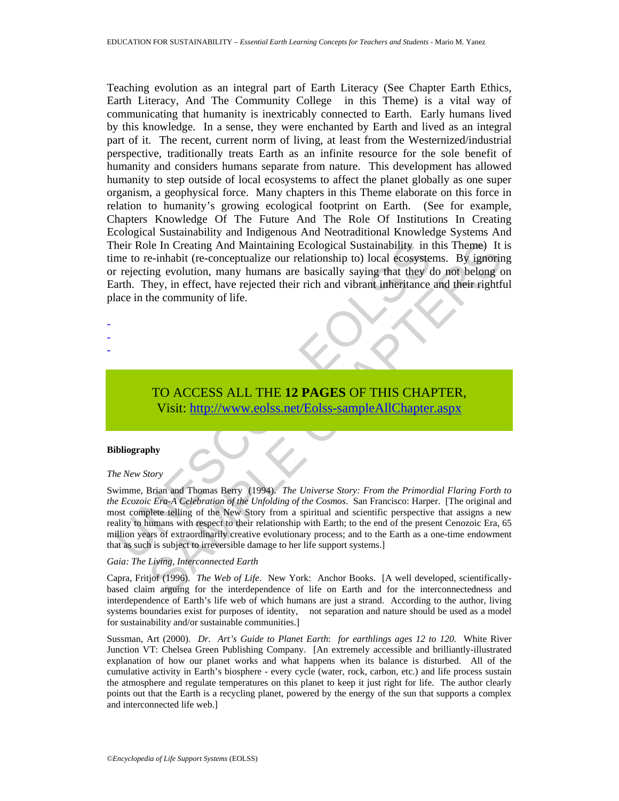heir Role In Creating And Maintaining Ecological Sustainability in the to re-inhabit (re-conceptualize our relationship to) local ecosyste<br>rejecting evolution, many humans are basically saying that they<br>care arth. They, in Ich In Creating And Maintaining Ecological Sustainability in this Theme) It<br>
c-inhabit (re-conceptualize our relationship to) local ecosystems. By ignoring<br>
img evolution, many humans are basically saying that they do not Teaching evolution as an integral part of Earth Literacy (See Chapter Earth Ethics, Earth Literacy, And The Community College in this Theme) is a vital way of communicating that humanity is inextricably connected to Earth. Early humans lived by this knowledge. In a sense, they were enchanted by Earth and lived as an integral part of it. The recent, current norm of living, at least from the Westernized/industrial perspective, traditionally treats Earth as an infinite resource for the sole benefit of humanity and considers humans separate from nature. This development has allowed humanity to step outside of local ecosystems to affect the planet globally as one super organism, a geophysical force. Many chapters in this Theme elaborate on this force in relation to humanity's growing ecological footprint on Earth. (See for example, Chapters Knowledge Of The Future And The Role Of Institutions In Creating Ecological Sustainability and Indigenous And Neotraditional Knowledge Systems And Their Role In Creating And Maintaining Ecological Sustainability in this Theme) It is time to re-inhabit (re-conceptualize our relationship to) local ecosystems. By ignoring or rejecting evolution, many humans are basically saying that they do not belong on Earth. They, in effect, have rejected their rich and vibrant inheritance and their rightful place in the community of life.

# TO ACCESS ALL THE **12 PAGES** OF THIS CHAPTER, Visit: http://www.eolss.net/Eolss-sampleAllChapter.aspx

## **Bibliography**

- - -

#### *The New Story*

Swimme, Brian and Thomas Berry (1994). *The Universe Story: From the Primordial Flaring Forth to the Ecozoic Era-A Celebration of the Unfolding of the Cosmos*. San Francisco: Harper. [The original and most complete telling of the New Story from a spiritual and scientific perspective that assigns a new reality to humans with respect to their relationship with Earth; to the end of the present Cenozoic Era, 65 million years of extraordinarily creative evolutionary process; and to the Earth as a one-time endowment that as such is subject to irreversible damage to her life support systems.]

## *Gaia: The Living, Interconnected Earth*

Capra, Fritjof (1996). *The Web of Life*. New York: Anchor Books. [A well developed, scientificallybased claim arguing for the interdependence of life on Earth and for the interconnectedness and interdependence of Earth's life web of which humans are just a strand. According to the author, living systems boundaries exist for purposes of identity, not separation and nature should be used as a model for sustainability and/or sustainable communities.]

Sussman, Art (2000). *Dr. Art's Guide to Planet Earth*: *for earthlings ages 12 to 120.* White River Junction VT: Chelsea Green Publishing Company. [An extremely accessible and brilliantly-illustrated explanation of how our planet works and what happens when its balance is disturbed. All of the cumulative activity in Earth's biosphere - every cycle (water, rock, carbon, etc.) and life process sustain the atmosphere and regulate temperatures on this planet to keep it just right for life. The author clearly points out that the Earth is a recycling planet, powered by the energy of the sun that supports a complex and interconnected life web.]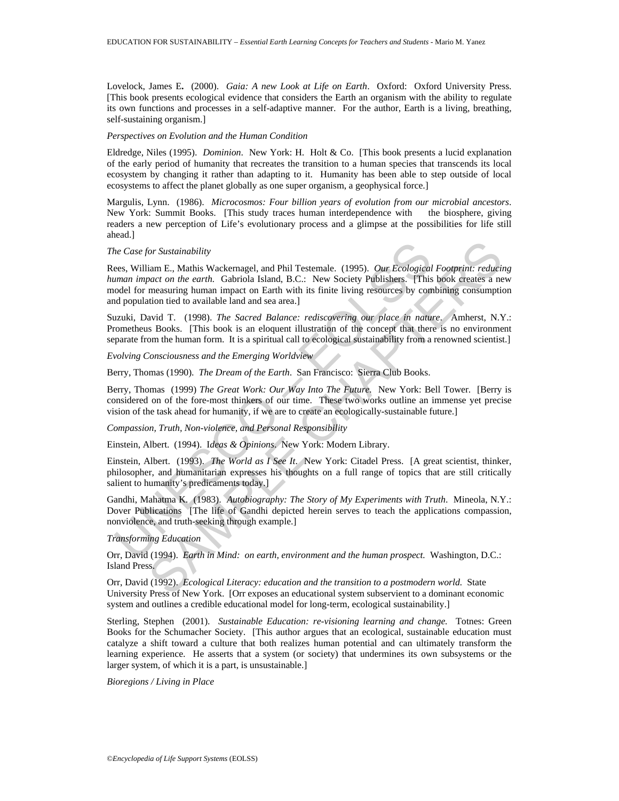Lovelock, James E**.** (2000). *Gaia: A new Look at Life on Earth*. Oxford: Oxford University Press. [This book presents ecological evidence that considers the Earth an organism with the ability to regulate its own functions and processes in a self-adaptive manner. For the author, Earth is a living, breathing, self-sustaining organism.]

### *Perspectives on Evolution and the Human Condition*

Eldredge, Niles (1995). *Dominion*. New York: H. Holt & Co. [This book presents a lucid explanation of the early period of humanity that recreates the transition to a human species that transcends its local ecosystem by changing it rather than adapting to it. Humanity has been able to step outside of local ecosystems to affect the planet globally as one super organism, a geophysical force.]

Margulis, Lynn. (1986). *Microcosmos: Four billion years of evolution from our microbial ancestors*. New York: Summit Books. [This study traces human interdependence with the biosphere, giving readers a new perception of Life's evolutionary process and a glimpse at the possibilities for life still ahead.]

### *The Case for Sustainability*

the Case for Sustainability<br>ees, William E., Mathis Wackernagel, and Phil Testemale. (1995). *Our Ecological*<br>man impact on the earth. Gabriola Island, B.C.: New Society Publishers. [This<br>dodel for measuring human impact o for Sustainability<br>tiam E., Mathis Wackernagel, and Phil Testemale. (1995). *Our Ecological Footprini: reducinal*<br>and E., and earth. Gabriola Island, B.C.: New Society Publishers. This book creates are<br>measuring human imp Rees, William E., Mathis Wackernagel, and Phil Testemale. (1995). *Our Ecological Footprint: reducing human impact on the earth.* Gabriola Island, B.C.: New Society Publishers. [This book creates a new model for measuring human impact on Earth with its finite living resources by combining consumption and population tied to available land and sea area.]

Suzuki, David T. (1998). *The Sacred Balance: rediscovering our place in nature*. Amherst, N.Y.: Prometheus Books. [This book is an eloquent illustration of the concept that there is no environment separate from the human form. It is a spiritual call to ecological sustainability from a renowned scientist.]

*Evolving Consciousness and the Emerging Worldview* 

Berry, Thomas (1990). *The Dream of the Earth*. San Francisco: Sierra Club Books.

Berry, Thomas (1999) *The Great Work: Our Way Into The Future.* New York: Bell Tower. [Berry is considered on of the fore-most thinkers of our time. These two works outline an immense yet precise vision of the task ahead for humanity, if we are to create an ecologically-sustainable future.]

*Compassion, Truth, Non-violence, and Personal Responsibility* 

Einstein, Albert. (1994). I*deas & Opinions*. New York: Modern Library.

Einstein, Albert. (1993). *The World as I See It*. New York: Citadel Press. [A great scientist, thinker, philosopher, and humanitarian expresses his thoughts on a full range of topics that are still critically salient to humanity's predicaments today.]

Gandhi, Mahatma K. (1983). *Autobiography: The Story of My Experiments with Truth*. Mineola, N.Y.: Dover Publications [The life of Gandhi depicted herein serves to teach the applications compassion, nonviolence, and truth-seeking through example.]

## *Transforming Education*

Orr, David (1994). *Earth in Mind: on earth, environment and the human prospect.* Washington, D.C.: Island Press.

Orr, David (1992). *Ecological Literacy: education and the transition to a postmodern world.* State University Press of New York. [Orr exposes an educational system subservient to a dominant economic system and outlines a credible educational model for long-term, ecological sustainability.]

Sterling, Stephen (2001). *Sustainable Education: re-visioning learning and change*. Totnes: Green Books for the Schumacher Society. [This author argues that an ecological, sustainable education must catalyze a shift toward a culture that both realizes human potential and can ultimately transform the learning experience. He asserts that a system (or society) that undermines its own subsystems or the larger system, of which it is a part, is unsustainable.]

*Bioregions / Living in Place*